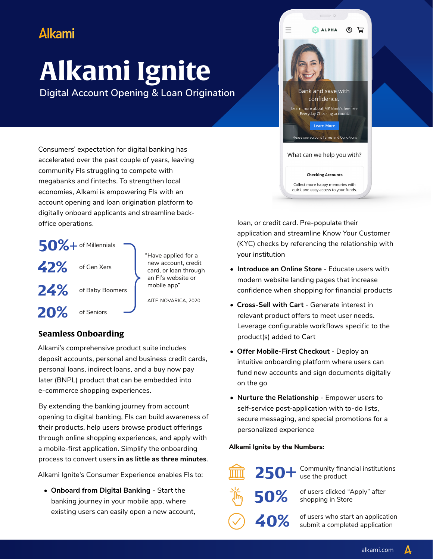## **Alkami**

# **Alkami Ignite**

**Digital Account Opening & Loan Origination**

Consumers' expectation for digital banking has accelerated over the past couple of years, leaving community FIs struggling to compete with megabanks and fintechs. To strengthen local economies, Alkami is empowering FIs with an account opening and loan origination platform to digitally onboard applicants and streamline backoffice operations.



"Have applied for a new account, credit card, or loan through an FI's website or mobile app"

AITE-NOVARICA, 2020

### **Seamless Onboarding**

Alkami's comprehensive product suite includes deposit accounts, personal and business credit cards, personal loans, indirect loans, and a buy now pay later (BNPL) product that can be embedded into e-commerce shopping experiences.

By extending the banking journey from account opening to digital banking, FIs can build awareness of their products, help users browse product offerings through online shopping experiences, and apply with a mobile-first application. Simplify the onboarding process to convert users **in as little as three minutes**.

Alkami Ignite's Consumer Experience enables FIs to:

**• Onboard from Digital Banking** - Start the banking journey in your mobile app, where existing users can easily open a new account,



loan, or credit card. Pre-populate their application and streamline Know Your Customer (KYC) checks by referencing the relationship with your institution

- **• Introduce an Online Store** Educate users with modern website landing pages that increase confidence when shopping for financial products
- **• Cross-Sell with Cart** Generate interest in relevant product offers to meet user needs. Leverage configurable workflows specific to the product(s) added to Cart
- **• Offer Mobile-First Checkout** Deploy an intuitive onboarding platform where users can fund new accounts and sign documents digitally on the go
- **• Nurture the Relationship** Empower users to self-service post-application with to-do lists, secure messaging, and special promotions for a personalized experience

#### **Alkami Ignite by the Numbers:**



250+ Community financial institutions use the product

50% of users clicked "Apply" after<br>shopping in Store shopping in Store

40% of users who start an application<br>
submit a completed application

A